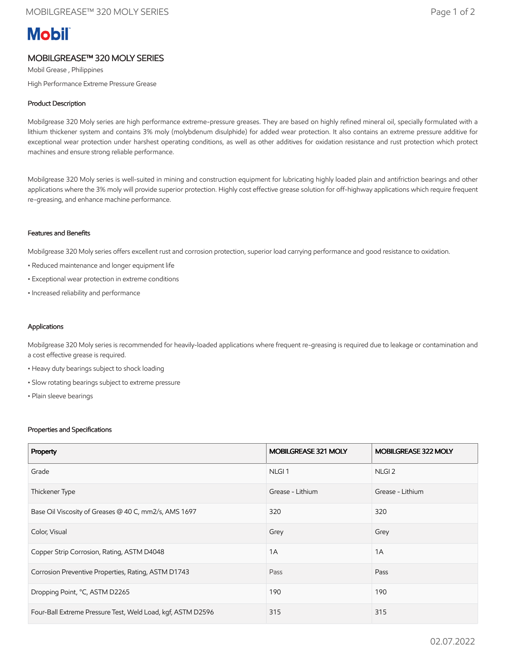# **Mobil**

## MOBILGREASE™ 320 MOLY SERIES

Mobil Grease , Philippines High Performance Extreme Pressure Grease

### Product Description

Mobilgrease 320 Moly series are high performance extreme-pressure greases. They are based on highly refined mineral oil, specially formulated with a lithium thickener system and contains 3% moly (molybdenum disulphide) for added wear protection. It also contains an extreme pressure additive for exceptional wear protection under harshest operating conditions, as well as other additives for oxidation resistance and rust protection which protect machines and ensure strong reliable performance.

Mobilgrease 320 Moly series is well-suited in mining and construction equipment for lubricating highly loaded plain and antifriction bearings and other applications where the 3% moly will provide superior protection. Highly cost effective grease solution for off-highway applications which require frequent re-greasing, and enhance machine performance.

#### Features and Benefits

Mobilgrease 320 Moly series offers excellent rust and corrosion protection, superior load carrying performance and good resistance to oxidation.

- Reduced maintenance and longer equipment life
- Exceptional wear protection in extreme conditions
- Increased reliability and performance

#### Applications

Mobilgrease 320 Moly series is recommended for heavily-loaded applications where frequent re-greasing is required due to leakage or contamination and a cost effective grease is required.

- Heavy duty bearings subject to shock loading
- Slow rotating bearings subject to extreme pressure
- Plain sleeve bearings

#### Properties and Specifications

| Property                                                    | MOBILGREASE 321 MOLY | MOBILGREASE 322 MOLY |
|-------------------------------------------------------------|----------------------|----------------------|
| Grade                                                       | NLGI <sub>1</sub>    | NLGI <sub>2</sub>    |
| Thickener Type                                              | Grease - Lithium     | Grease - Lithium     |
| Base Oil Viscosity of Greases @ 40 C, mm2/s, AMS 1697       | 320                  | 320                  |
| Color, Visual                                               | Grey                 | Grey                 |
| Copper Strip Corrosion, Rating, ASTM D4048                  | 1A                   | 1A                   |
| Corrosion Preventive Properties, Rating, ASTM D1743         | Pass                 | Pass                 |
| Dropping Point, °C, ASTM D2265                              | 190                  | 190                  |
| Four-Ball Extreme Pressure Test, Weld Load, kgf, ASTM D2596 | 315                  | 315                  |